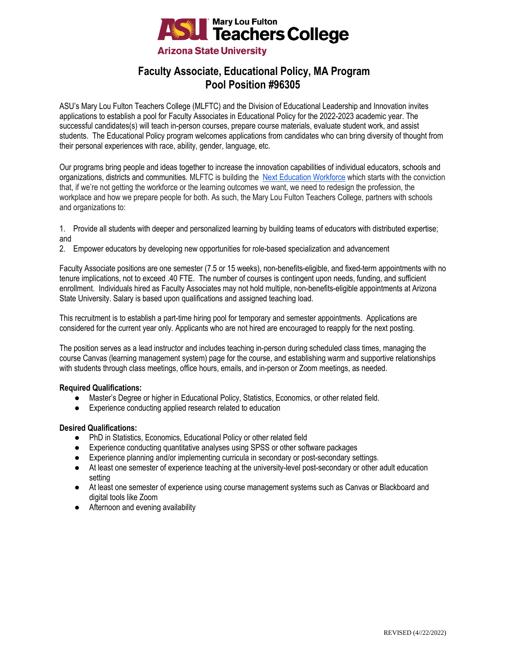

# **Faculty Associate, Educational Policy, MA Program Pool Position #96305**

ASU's Mary Lou Fulton Teachers College (MLFTC) and the Division of Educational Leadership and Innovation invites applications to establish a pool for Faculty Associates in Educational Policy for the 2022-2023 academic year. The successful candidates(s) will teach in-person courses, prepare course materials, evaluate student work, and assist students. The Educational Policy program welcomes applications from candidates who can bring diversity of thought from their personal experiences with race, ability, gender, language, etc.

Our programs bring people and ideas together to increase the innovation capabilities of individual educators, schools and organizations, districts and communities. MLFTC is building the [Next Education Workforce](https://workforce.education.asu.edu/?utm_source=mlftc&utm_medium=redirect&utm_campaign=top_nav) which starts with the conviction that, if we're not getting the workforce or the learning outcomes we want, we need to redesign the profession, the workplace and how we prepare people for both. As such, the Mary Lou Fulton Teachers College, partners with schools and organizations to:

1. Provide all students with deeper and personalized learning by building teams of educators with distributed expertise; and

2. Empower educators by developing new opportunities for role-based specialization and advancement

Faculty Associate positions are one semester (7.5 or 15 weeks), non-benefits-eligible, and fixed-term appointments with no tenure implications, not to exceed .40 FTE. The number of courses is contingent upon needs, funding, and sufficient enrollment. Individuals hired as Faculty Associates may not hold multiple, non-benefits-eligible appointments at Arizona State University. Salary is based upon qualifications and assigned teaching load.

This recruitment is to establish a part-time hiring pool for temporary and semester appointments. Applications are considered for the current year only. Applicants who are not hired are encouraged to reapply for the next posting.

The position serves as a lead instructor and includes teaching in-person during scheduled class times, managing the course Canvas (learning management system) page for the course, and establishing warm and supportive relationships with students through class meetings, office hours, emails, and in-person or Zoom meetings, as needed.

## **Required Qualifications:**

- Master's Degree or higher in Educational Policy, Statistics, Economics, or other related field.
- Experience conducting applied research related to education

## **Desired Qualifications:**

- PhD in Statistics, Economics, Educational Policy or other related field
- Experience conducting quantitative analyses using SPSS or other software packages
- Experience planning and/or implementing curricula in secondary or post-secondary settings.
- At least one semester of experience teaching at the university-level post-secondary or other adult education setting
- At least one semester of experience using course management systems such as Canvas or Blackboard and digital tools like Zoom
- Afternoon and evening availability